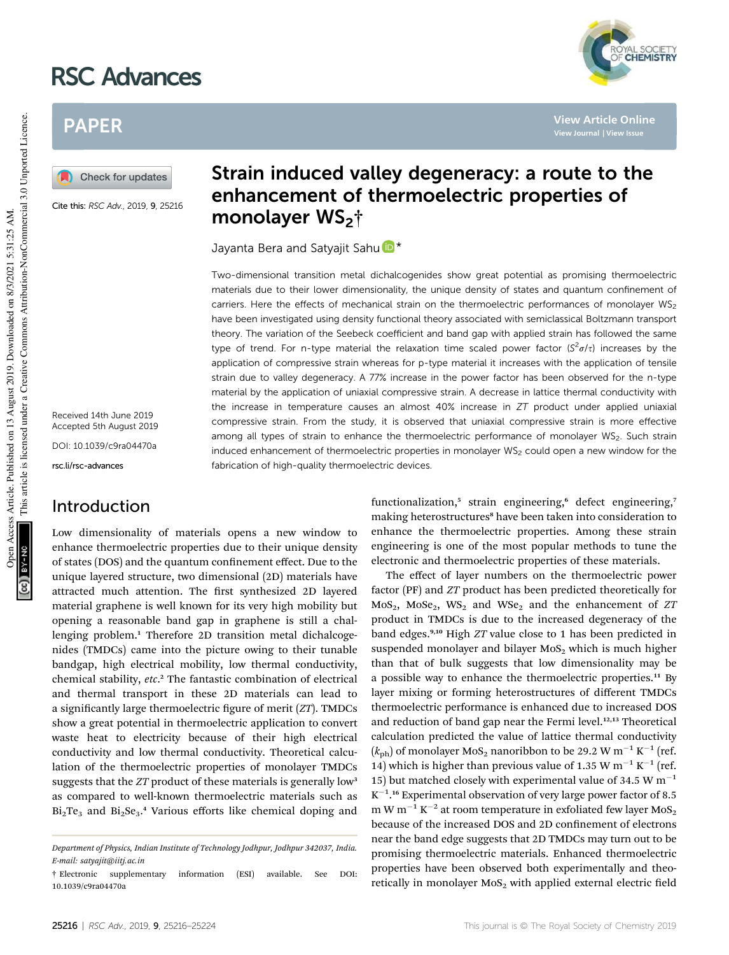# RSC Advances



Check for updates

Cite this: RSC Adv., 2019, 9, 25216

Received 14th June 2019 Accepted 5th August 2019 DOI: 10.1039/c9ra04470a

rsc.li/rsc-advances

## Introduction

Low dimensionality of materials opens a new window to enhance thermoelectric properties due to their unique density of states (DOS) and the quantum confinement effect. Due to the unique layered structure, two dimensional (2D) materials have attracted much attention. The first synthesized 2D layered material graphene is well known for its very high mobility but opening a reasonable band gap in graphene is still a challenging problem.<sup>1</sup> Therefore 2D transition metal dichalcogenides (TMDCs) came into the picture owing to their tunable bandgap, high electrical mobility, low thermal conductivity, chemical stability, *etc*. <sup>2</sup> The fantastic combination of electrical and thermal transport in these 2D materials can lead to a significantly large thermoelectric figure of merit (*ZT*). TMDCs show a great potential in thermoelectric application to convert waste heat to electricity because of their high electrical conductivity and low thermal conductivity. Theoretical calculation of the thermoelectric properties of monolayer TMDCs suggests that the *ZT* product of these materials is generally low<sup>3</sup> as compared to well-known thermoelectric materials such as  $Bi<sub>2</sub>Te<sub>3</sub>$  and  $Bi<sub>2</sub>Se<sub>3</sub>$ .<sup>4</sup> Various efforts like chemical doping and

## Strain induced valley degeneracy: a route to the enhancement of thermoelectric properties of monolayer WS<sub>2</sub>†

Jayanta Bera and Satyajit Sahu<sup>D\*</sup>

Two-dimensional transition metal dichalcogenides show great potential as promising thermoelectric materials due to their lower dimensionality, the unique density of states and quantum confinement of carriers. Here the effects of mechanical strain on the thermoelectric performances of monolayer  $WS_2$ have been investigated using density functional theory associated with semiclassical Boltzmann transport theory. The variation of the Seebeck coefficient and band gap with applied strain has followed the same type of trend. For n-type material the relaxation time scaled power factor  $(S^2\sigma/\tau)$  increases by the application of compressive strain whereas for p-type material it increases with the application of tensile strain due to valley degeneracy. A 77% increase in the power factor has been observed for the n-type material by the application of uniaxial compressive strain. A decrease in lattice thermal conductivity with the increase in temperature causes an almost  $40\%$  increase in  $ZT$  product under applied uniaxial compressive strain. From the study, it is observed that uniaxial compressive strain is more effective among all types of strain to enhance the thermoelectric performance of monolayer WS<sub>2</sub>. Such strain induced enhancement of thermoelectric properties in monolayer  $WS<sub>2</sub>$  could open a new window for the fabrication of high-quality thermoelectric devices.

> functionalization,<sup>5</sup> strain engineering,<sup>6</sup> defect engineering,7 making heterostructures<sup>8</sup> have been taken into consideration to enhance the thermoelectric properties. Among these strain engineering is one of the most popular methods to tune the electronic and thermoelectric properties of these materials.

> The effect of layer numbers on the thermoelectric power factor (PF) and *ZT* product has been predicted theoretically for MoS2, MoSe2, WS<sup>2</sup> and WSe<sup>2</sup> and the enhancement of *ZT* product in TMDCs is due to the increased degeneracy of the band edges.9,10 High *ZT* value close to 1 has been predicted in suspended monolayer and bilayer  $MoS<sub>2</sub>$  which is much higher than that of bulk suggests that low dimensionality may be a possible way to enhance the thermoelectric properties.<sup>11</sup> By layer mixing or forming heterostructures of different TMDCs thermoelectric performance is enhanced due to increased DOS and reduction of band gap near the Fermi level.<sup>12,13</sup> Theoretical calculation predicted the value of lattice thermal conductivity  $(k_{\rm ph})$  of monolayer MoS<sub>2</sub> nanoribbon to be 29.2 W m<sup>-1</sup> K<sup>-1</sup> (ref. 14) which is higher than previous value of 1.35 W m<sup>-1</sup> K<sup>-1</sup> (ref. 15) but matched closely with experimental value of 34.5 W  $m^{-1}$  $K^{-1}$ .<sup>16</sup> Experimental observation of very large power factor of 8.5 m W $\mathrm{m}^{-1}$  K $^{-2}$  at room temperature in exfoliated few layer MoS $_2$ because of the increased DOS and 2D confinement of electrons near the band edge suggests that 2D TMDCs may turn out to be promising thermoelectric materials. Enhanced thermoelectric properties have been observed both experimentally and theoretically in monolayer  $MoS<sub>2</sub>$  with applied external electric field



**View Article Online View Journal | View Issue**

*Department of Physics, Indian Institute of Technology Jodhpur, Jodhpur 342037, India. E-mail: satyajit@iitj.ac.in*

<sup>†</sup> Electronic supplementary information (ESI) available. See DOI: 10.1039/c9ra04470a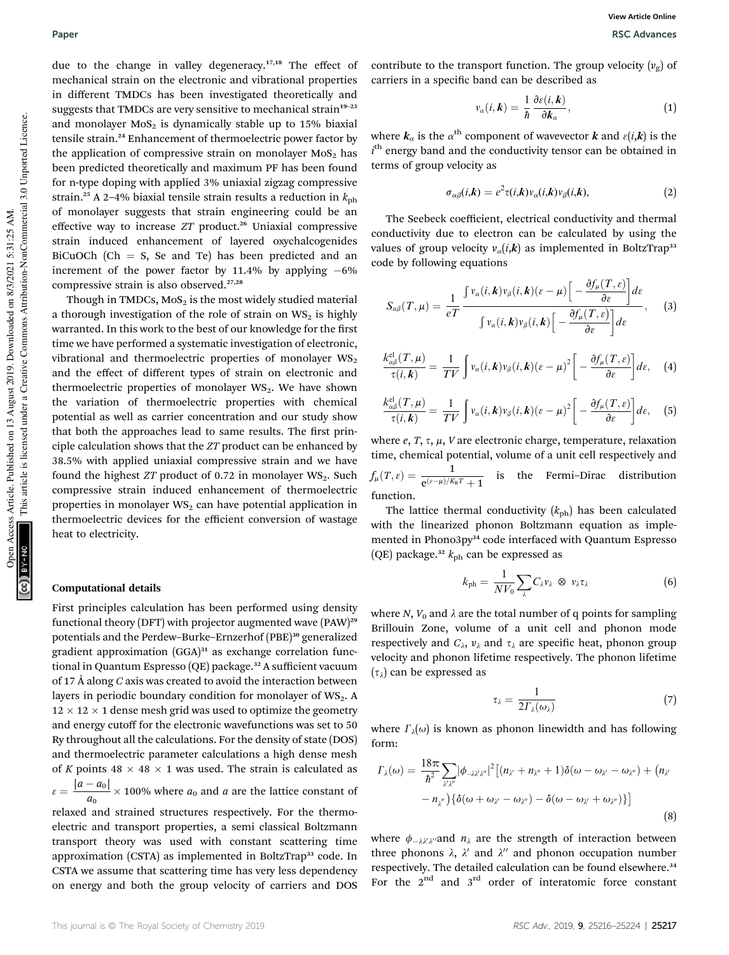due to the change in valley degeneracy.<sup>17,18</sup> The effect of mechanical strain on the electronic and vibrational properties in different TMDCs has been investigated theoretically and suggests that TMDCs are very sensitive to mechanical strain<sup>19-23</sup> and monolayer  $MoS<sub>2</sub>$  is dynamically stable up to 15% biaxial tensile strain.<sup>24</sup> Enhancement of thermoelectric power factor by the application of compressive strain on monolayer  $MoS<sub>2</sub>$  has been predicted theoretically and maximum PF has been found for n-type doping with applied 3% uniaxial zigzag compressive strain.<sup>25</sup> A 2–4% biaxial tensile strain results a reduction in  $k_{\text{ph}}$ of monolayer suggests that strain engineering could be an effective way to increase *ZT* product.<sup>26</sup> Uniaxial compressive strain induced enhancement of layered oxychalcogenides BiCuOCh (Ch  $=$  S, Se and Te) has been predicted and an increment of the power factor by 11.4% by applying  $-6\%$ compressive strain is also observed.<sup>27,28</sup>

Though in TMDCs,  $MoS<sub>2</sub>$  is the most widely studied material a thorough investigation of the role of strain on  $WS_2$  is highly warranted. In this work to the best of our knowledge for the first time we have performed a systematic investigation of electronic, vibrational and thermoelectric properties of monolayer  $WS_2$ and the effect of different types of strain on electronic and thermoelectric properties of monolayer  $WS_2$ . We have shown the variation of thermoelectric properties with chemical potential as well as carrier concentration and our study show that both the approaches lead to same results. The first principle calculation shows that the *ZT* product can be enhanced by 38.5% with applied uniaxial compressive strain and we have found the highest *ZT* product of 0.72 in monolayer WS<sub>2</sub>. Such compressive strain induced enhancement of thermoelectric properties in monolayer  $WS_2$  can have potential application in thermoelectric devices for the efficient conversion of wastage heat to electricity.

#### Computational details

First principles calculation has been performed using density functional theory (DFT) with projector augmented wave (PAW)<sup>29</sup> potentials and the Perdew-Burke-Ernzerhof (PBE)<sup>30</sup> generalized gradient approximation  $(GGA)^{31}$  as exchange correlation functional in Quantum Espresso (QE) package.<sup>32</sup> A sufficient vacuum of 17 Å along *C* axis was created to avoid the interaction between layers in periodic boundary condition for monolayer of  $WS_2$ . A  $12 \times 12 \times 1$  dense mesh grid was used to optimize the geometry and energy cutoff for the electronic wavefunctions was set to 50 Ry throughout all the calculations. For the density of state (DOS) and thermoelectric parameter calculations a high dense mesh of *K* points  $48 \times 48 \times 1$  was used. The strain is calculated as  $\varepsilon = \frac{|a - a_0|}{\varepsilon}$  $\frac{a_{01}}{a_0}$  × 100% where  $a_0$  and *a* are the lattice constant of relaxed and strained structures respectively. For the thermoelectric and transport properties, a semi classical Boltzmann transport theory was used with constant scattering time approximation (CSTA) as implemented in BoltzTrap<sup>33</sup> code. In CSTA we assume that scattering time has very less dependency on energy and both the group velocity of carriers and DOS

contribute to the transport function. The group velocity  $(v_g)$  of carriers in a specific band can be described as

$$
v_{\alpha}(i,k) = \frac{1}{\hbar} \frac{\partial \varepsilon(i,k)}{\partial k_{\alpha}}, \qquad (1)
$$

where  $\bm{k}_{\alpha}$  is the  $\alpha^{\text{th}}$  component of wavevector  $\bm{k}$  and  $\varepsilon(i,\bm{k})$  is the *i*<sup>th</sup> energy band and the conductivity tensor can be obtained in terms of group velocity as

$$
\sigma_{\alpha\beta}(i,k) = e^2 \tau(i,k) v_{\alpha}(i,k) v_{\beta}(i,k), \qquad (2)
$$

The Seebeck coefficient, electrical conductivity and thermal conductivity due to electron can be calculated by using the values of group velocity  $v_{\alpha}(i, k)$  as implemented in BoltzTrap<sup>33</sup> code by following equations

$$
S_{\alpha\beta}(T,\mu) = \frac{1}{eT} \frac{\int v_{\alpha}(i,\boldsymbol{k})v_{\beta}(i,\boldsymbol{k})(\varepsilon-\mu) \left[ -\frac{\partial f_{\mu}(T,\varepsilon)}{\partial \varepsilon} \right] d\varepsilon}{\int v_{\alpha}(i,\boldsymbol{k})v_{\beta}(i,\boldsymbol{k}) \left[ -\frac{\partial f_{\mu}(T,\varepsilon)}{\partial \varepsilon} \right] d\varepsilon}, \quad (3)
$$

$$
\frac{k_{\alpha\beta}^{\text{el}}(T,\mu)}{\tau(i,\mathbf{k})} = \frac{1}{TV} \int v_{\alpha}(i,\mathbf{k}) v_{\beta}(i,\mathbf{k}) (\varepsilon - \mu)^2 \bigg[ -\frac{\partial f_{\mu}(T,\varepsilon)}{\partial \varepsilon} \bigg] d\varepsilon, \quad (4)
$$

$$
\frac{k_{\alpha\beta}^{\text{el}}(T,\mu)}{\tau(i,k)} = \frac{1}{TV} \int v_{\alpha}(i,k) v_{\beta}(i,k) (\varepsilon - \mu)^2 \bigg[ -\frac{\partial f_{\mu}(T,\varepsilon)}{\partial \varepsilon} \bigg] d\varepsilon, \quad (5)
$$

where  $e$ ,  $T$ ,  $\tau$ ,  $\mu$ ,  $V$  are electronic charge, temperature, relaxation time, chemical potential, volume of a unit cell respectively and  $f_{\mu}(T,\varepsilon) = \frac{1}{e^{(\varepsilon-\mu)/K_B T} + 1}$  is the Fermi–Dirac distribution function.

The lattice thermal conductivity  $(k_{ph})$  has been calculated with the linearized phonon Boltzmann equation as implemented in Phono3py<sup>34</sup> code interfaced with Quantum Espresso (QE) package.<sup>32</sup>  $k_{ph}$  can be expressed as

$$
k_{\rm ph} = \frac{1}{NV_0} \sum_{\lambda} C_{\lambda} v_{\lambda} \otimes v_{\lambda} \tau_{\lambda}
$$
 (6)

where *N*,  $V_0$  and  $\lambda$  are the total number of q points for sampling Brillouin Zone, volume of a unit cell and phonon mode respectively and  $C_{\lambda}$ ,  $v_{\lambda}$  and  $\tau_{\lambda}$  are specific heat, phonon group velocity and phonon lifetime respectively. The phonon lifetime  $(\tau_{\lambda})$  can be expressed as

$$
\tau_{\lambda} = \frac{1}{2\Gamma_{\lambda}(\omega_{\lambda})} \tag{7}
$$

where  $\varGamma_\lambda(\omega)$  is known as phonon linewidth and has following form:

$$
\Gamma_{\lambda}(\omega) = \frac{18\pi}{\hbar^2} \sum_{\substack{\chi \chi''}} |\phi_{-\lambda \chi' \chi''}|^2 \left[ (n_{\chi'} + n_{\chi''} + 1) \delta(\omega - \omega_{\chi'} - \omega_{\chi''}) + (n_{\chi'} - n_{\chi''}) \{ \delta(\omega + \omega_{\chi'} - \omega_{\chi''}) - \delta(\omega - \omega_{\chi} + \omega_{\chi''}) \} \right]
$$
\n(8)

where  $\phi_{-\lambda\lambda'\lambda''}$  and  $n_\lambda$  are the strength of interaction between three phonons  $\lambda$ ,  $\lambda'$  and  $\lambda''$  and phonon occupation number respectively. The detailed calculation can be found elsewhere.<sup>34</sup> For the  $2<sup>nd</sup>$  and  $3<sup>rd</sup>$  order of interatomic force constant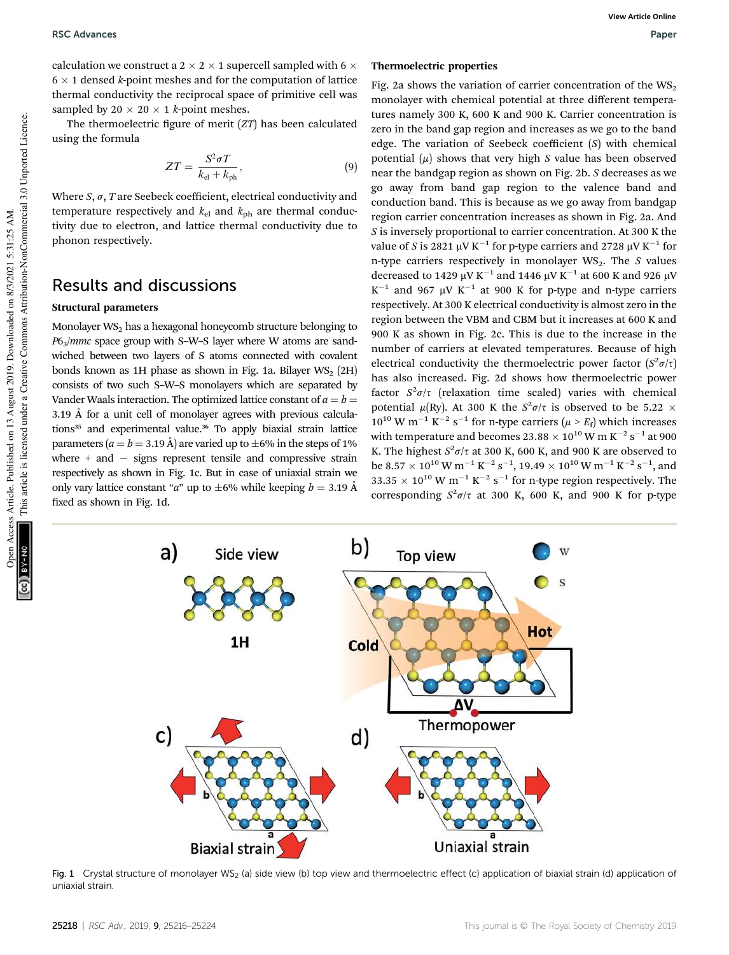calculation we construct a 2  $\times$  2  $\times$  1 supercell sampled with 6  $\times$  $6 \times 1$  densed *k*-point meshes and for the computation of lattice thermal conductivity the reciprocal space of primitive cell was sampled by  $20 \times 20 \times 1$  *k*-point meshes.

The thermoelectric figure of merit (*ZT*) has been calculated using the formula

$$
ZT = \frac{S^2 \sigma T}{k_{\rm el} + k_{\rm ph}},\tag{9}
$$

Where  $S$ ,  $\sigma$ ,  $T$  are Seebeck coefficient, electrical conductivity and temperature respectively and  $k_{el}$  and  $k_{ph}$  are thermal conductivity due to electron, and lattice thermal conductivity due to phonon respectively.

## Results and discussions

#### Structural parameters

Monolayer  $WS_2$  has a hexagonal honeycomb structure belonging to *P*63/*mmc* space group with S–W–S layer where W atoms are sandwiched between two layers of S atoms connected with covalent bonds known as 1H phase as shown in Fig. 1a. Bilayer  $WS_2$  (2H) consists of two such S–W–S monolayers which are separated by Vander Waals interaction. The optimized lattice constant of  $a = b =$ 3.19 Å for a unit cell of monolayer agrees with previous calculations<sup>35</sup> and experimental value.<sup>36</sup> To apply biaxial strain lattice parameters  $(a = b = 3.19 \text{ Å})$  are varied up to  $\pm 6\%$  in the steps of 1% where  $+$  and  $-$  signs represent tensile and compressive strain respectively as shown in Fig. 1c. But in case of uniaxial strain we only vary lattice constant "*a*" up to  $\pm 6\%$  while keeping *b* = 3.19 Å fixed as shown in Fig. 1d.

#### Thermoelectric properties

Fig. 2a shows the variation of carrier concentration of the  $WS_2$ monolayer with chemical potential at three different temperatures namely 300 K, 600 K and 900 K. Carrier concentration is zero in the band gap region and increases as we go to the band edge. The variation of Seebeck coefficient (*S*) with chemical potential  $(\mu)$  shows that very high *S* value has been observed near the bandgap region as shown on Fig. 2b. *S* decreases as we go away from band gap region to the valence band and conduction band. This is because as we go away from bandgap region carrier concentration increases as shown in Fig. 2a. And *S* is inversely proportional to carrier concentration. At 300 K the value of *S* is 2821  $\mu$ V K $^{-1}$  for p-type carriers and 2728  $\mu$ V K $^{-1}$  for n-type carriers respectively in monolayer WS<sub>2</sub>. The *S* values decreased to 1429  $\upmu\mathrm{V}~\mathrm{K}^{-1}$  and 1446  $\upmu\mathrm{V}~\mathrm{K}^{-1}$  at 600 K and 926  $\upmu\mathrm{V}$  $K^{-1}$  and 967  $\mu$ V  $K^{-1}$  at 900 K for p-type and n-type carriers respectively. At 300 K electrical conductivity is almost zero in the region between the VBM and CBM but it increases at 600 K and 900 K as shown in Fig. 2c. This is due to the increase in the number of carriers at elevated temperatures. Because of high electrical conductivity the thermoelectric power factor  $(S^2 \sigma/\tau)$ has also increased. Fig. 2d shows how thermoelectric power factor  $S^2 \sigma/\tau$  (relaxation time scaled) varies with chemical potential  $\mu$ (Ry). At 300 K the  $S^2\sigma/\tau$  is observed to be 5.22  $\times$  $10^{10}$  W m<sup>-1</sup> K<sup>-2</sup> s<sup>-1</sup> for n-type carriers ( $\mu > E_f$ ) which increases with temperature and becomes 23.88  $\times$  10 $^{10}$  W m K $^{-2}$  s $^{-1}$  at 900 K. The highest  $S^2 \sigma / \tau$  at 300 K, 600 K, and 900 K are observed to be 8.57  $\times$  10 $^{10}$  W m $^{-1}$  K $^{-2}$  s $^{-1}$ , 19.49  $\times$  10 $^{10}$  W m $^{-1}$  K $^{-2}$  s $^{-1}$ , and 33.35  $\times$  10<sup>10</sup> W m<sup>-1</sup> K<sup>-2</sup> s<sup>-1</sup> for n-type region respectively. The corresponding  $S^2 \sigma/\tau$  at 300 K, 600 K, and 900 K for p-type

b) a) Side view Top view **Hot** 1H Cold ΔV. Thermopower  $\mathsf{C}$ d) Uniaxial strain **Biaxial strain** 

Fig. 1 Crystal structure of monolayer WS<sub>2</sub> (a) side view (b) top view and thermoelectric effect (c) application of biaxial strain (d) application of uniaxial strain.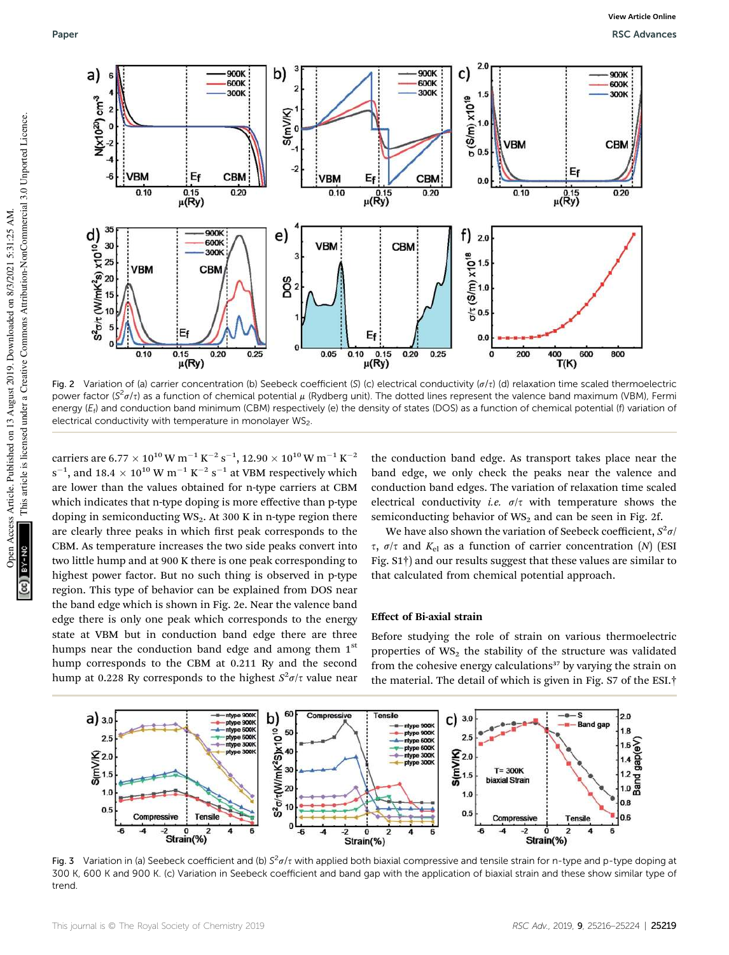

Fig. 2 Variation of (a) carrier concentration (b) Seebeck coefficient (S) (c) electrical conductivity ( $\sigma/\tau$ ) (d) relaxation time scaled thermoelectric power factor (S<sup>2</sup>a/t) as a function of chemical potential  $\mu$  (Rydberg unit). The dotted lines represent the valence band maximum (VBM), Fermi energy (E<sub>f</sub>) and conduction band minimum (CBM) respectively (e) the density of states (DOS) as a function of chemical potential (f) variation of electrical conductivity with temperature in monolayer WS2.

carriers are 6.77  $\times$   $10^{10}$  W m $^{-1}$  K $^{-2}$  s $^{-1}$ , 12.90  $\times$   $10^{10}$  W m $^{-1}$  K $^{-2}$  $\rm s^{-1}$ , and 18.4  $\times$  10 $^{10}$  W m $^{-1}$  K $^{-2}$   $\rm s^{-1}$  at VBM respectively which are lower than the values obtained for n-type carriers at CBM which indicates that n-type doping is more effective than p-type doping in semiconducting  $WS_2$ . At 300 K in n-type region there are clearly three peaks in which first peak corresponds to the CBM. As temperature increases the two side peaks convert into two little hump and at 900 K there is one peak corresponding to highest power factor. But no such thing is observed in p-type region. This type of behavior can be explained from DOS near the band edge which is shown in Fig. 2e. Near the valence band edge there is only one peak which corresponds to the energy state at VBM but in conduction band edge there are three humps near the conduction band edge and among them  $1<sup>st</sup>$ hump corresponds to the CBM at 0.211 Ry and the second hump at 0.228 Ry corresponds to the highest  $S^2 \sigma / \tau$  value near

the conduction band edge. As transport takes place near the band edge, we only check the peaks near the valence and conduction band edges. The variation of relaxation time scaled electrical conductivity *i.e.*  $\sigma/\tau$  with temperature shows the semiconducting behavior of  $WS_2$  and can be seen in Fig. 2f.

We have also shown the variation of Seebeck coefficient,  $S^2 \sigma /$  $\tau$ ,  $\sigma/\tau$  and  $K_{\rm el}$  as a function of carrier concentration (*N*) (ESI Fig. S1†) and our results suggest that these values are similar to that calculated from chemical potential approach.

#### Effect of Bi-axial strain

Before studying the role of strain on various thermoelectric properties of  $WS_2$  the stability of the structure was validated from the cohesive energy calculations<sup>37</sup> by varying the strain on the material. The detail of which is given in Fig. S7 of the ESI.†



Fig. 3 Variation in (a) Seebeck coefficient and (b)  $S^2\sigma/\tau$  with applied both biaxial compressive and tensile strain for n-type and p-type doping at 300 K, 600 K and 900 K. (c) Variation in Seebeck coefficient and band gap with the application of biaxial strain and these show similar type of trend.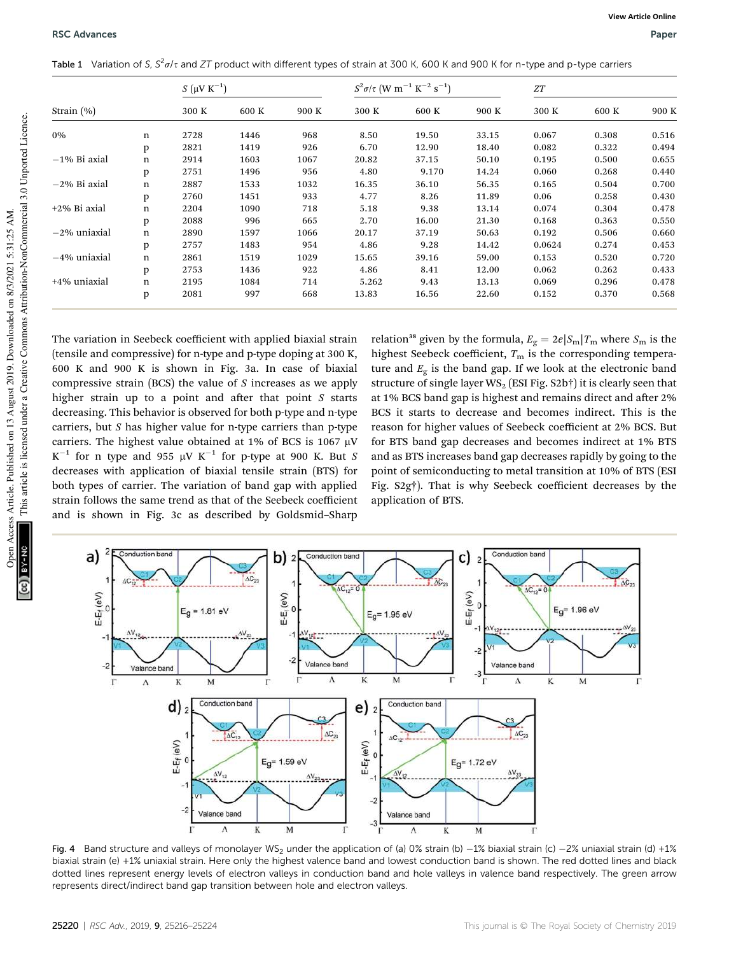|  |  |  |  |  | Table 1 Variation of S, $S^2\sigma/\tau$ and ZT product with different types of strain at 300 K, 600 K and 900 K for n-type and p-type carriers |
|--|--|--|--|--|-------------------------------------------------------------------------------------------------------------------------------------------------|
|--|--|--|--|--|-------------------------------------------------------------------------------------------------------------------------------------------------|

|                 |             | $S(μV K-1)$ |       |       | $S^2 \sigma / \tau$ (W m <sup>-1</sup> K <sup>-2</sup> s <sup>-1</sup> ) |       |       | ${\cal ZT}$ |       |       |
|-----------------|-------------|-------------|-------|-------|--------------------------------------------------------------------------|-------|-------|-------------|-------|-------|
| Strain $(\% )$  |             | 300 K       | 600 K | 900 K | 300 K                                                                    | 600 K | 900 K | 300 K       | 600 K | 900 K |
| 0%              | n           | 2728        | 1446  | 968   | 8.50                                                                     | 19.50 | 33.15 | 0.067       | 0.308 | 0.516 |
|                 | p           | 2821        | 1419  | 926   | 6.70                                                                     | 12.90 | 18.40 | 0.082       | 0.322 | 0.494 |
| $-1\%$ Bi axial | $\mathbf n$ | 2914        | 1603  | 1067  | 20.82                                                                    | 37.15 | 50.10 | 0.195       | 0.500 | 0.655 |
|                 | p           | 2751        | 1496  | 956   | 4.80                                                                     | 9.170 | 14.24 | 0.060       | 0.268 | 0.440 |
| $-2\%$ Bi axial | n           | 2887        | 1533  | 1032  | 16.35                                                                    | 36.10 | 56.35 | 0.165       | 0.504 | 0.700 |
|                 | p           | 2760        | 1451  | 933   | 4.77                                                                     | 8.26  | 11.89 | 0.06        | 0.258 | 0.430 |
| $+2\%$ Bi axial | n           | 2204        | 1090  | 718   | 5.18                                                                     | 9.38  | 13.14 | 0.074       | 0.304 | 0.478 |
|                 | p           | 2088        | 996   | 665   | 2.70                                                                     | 16.00 | 21.30 | 0.168       | 0.363 | 0.550 |
| $-2\%$ uniaxial | n           | 2890        | 1597  | 1066  | 20.17                                                                    | 37.19 | 50.63 | 0.192       | 0.506 | 0.660 |
|                 | p           | 2757        | 1483  | 954   | 4.86                                                                     | 9.28  | 14.42 | 0.0624      | 0.274 | 0.453 |
| $-4\%$ uniaxial | n           | 2861        | 1519  | 1029  | 15.65                                                                    | 39.16 | 59.00 | 0.153       | 0.520 | 0.720 |
|                 | p           | 2753        | 1436  | 922   | 4.86                                                                     | 8.41  | 12.00 | 0.062       | 0.262 | 0.433 |
| $+4\%$ uniaxial | n           | 2195        | 1084  | 714   | 5.262                                                                    | 9.43  | 13.13 | 0.069       | 0.296 | 0.478 |
|                 | p           | 2081        | 997   | 668   | 13.83                                                                    | 16.56 | 22.60 | 0.152       | 0.370 | 0.568 |

The variation in Seebeck coefficient with applied biaxial strain (tensile and compressive) for n-type and p-type doping at 300 K, 600 K and 900 K is shown in Fig. 3a. In case of biaxial compressive strain (BCS) the value of *S* increases as we apply higher strain up to a point and after that point *S* starts decreasing. This behavior is observed for both p-type and n-type carriers, but *S* has higher value for n-type carriers than p-type carriers. The highest value obtained at 1% of BCS is 1067  $\mu$ V  $K^{-1}$  for n type and 955  $\mu$ V  $K^{-1}$  for p-type at 900 K. But *S* decreases with application of biaxial tensile strain (BTS) for both types of carrier. The variation of band gap with applied strain follows the same trend as that of the Seebeck coefficient and is shown in Fig. 3c as described by Goldsmid–Sharp

relation<sup>38</sup> given by the formula,  $E_{\rm g} = 2e|S_{\rm m}|T_{\rm m}$  where  $S_{\rm m}$  is the highest Seebeck coefficient,  $T<sub>m</sub>$  is the corresponding temperature and  $E_g$  is the band gap. If we look at the electronic band structure of single layer  $WS_2$  (ESI Fig. S2b†) it is clearly seen that at 1% BCS band gap is highest and remains direct and after 2% BCS it starts to decrease and becomes indirect. This is the reason for higher values of Seebeck coefficient at 2% BCS. But for BTS band gap decreases and becomes indirect at 1% BTS and as BTS increases band gap decreases rapidly by going to the point of semiconducting to metal transition at 10% of BTS (ESI Fig. S2g†). That is why Seebeck coefficient decreases by the application of BTS.



Fig. 4 Band structure and valleys of monolayer WS<sub>2</sub> under the application of (a) 0% strain (b)  $-1$ % biaxial strain (c)  $-2$ % uniaxial strain (d) +1% biaxial strain (e) +1% uniaxial strain. Here only the highest valence band and lowest conduction band is shown. The red dotted lines and black dotted lines represent energy levels of electron valleys in conduction band and hole valleys in valence band respectively. The green arrow represents direct/indirect band gap transition between hole and electron valleys.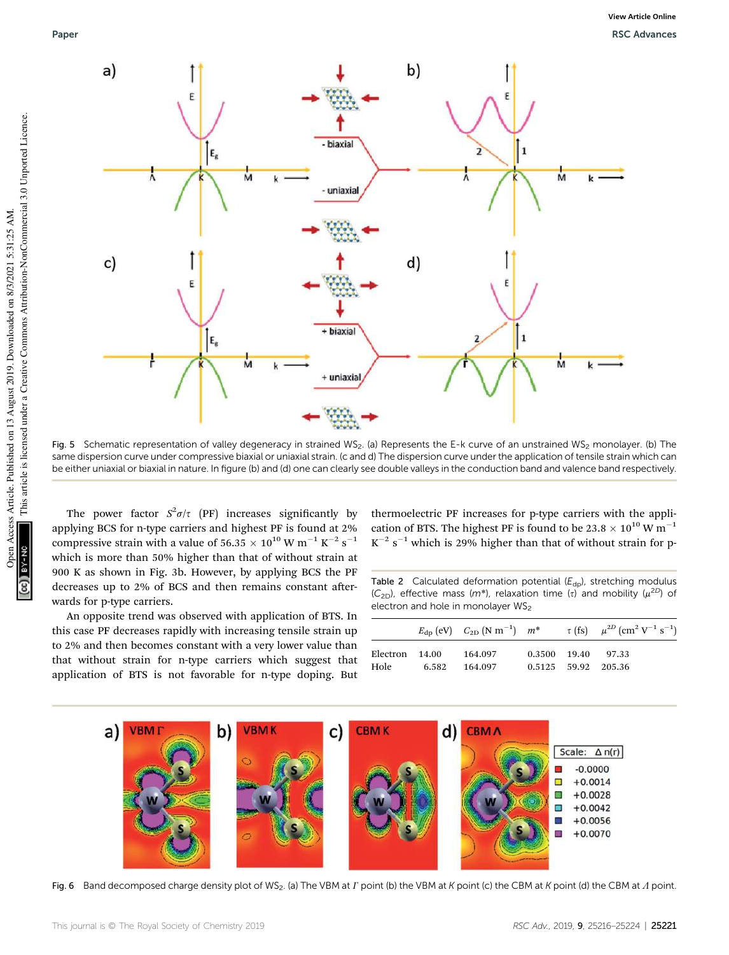

Fig. 5 Schematic representation of valley degeneracy in strained WS<sub>2</sub>. (a) Represents the E-k curve of an unstrained WS<sub>2</sub> monolayer. (b) The same dispersion curve under compressive biaxial or uniaxial strain. (c and d) The dispersion curve under the application of tensile strain which can be either uniaxial or biaxial in nature. In figure (b) and (d) one can clearly see double valleys in the conduction band and valence band respectively.

The power factor  $S^2 \sigma/\tau$  (PF) increases significantly by applying BCS for n-type carriers and highest PF is found at 2% compressive strain with a value of 56.35  $\times$   $10^{10}$  W m $^{-1}$  K $^{-2}$  s $^{-1}$ which is more than 50% higher than that of without strain at 900 K as shown in Fig. 3b. However, by applying BCS the PF decreases up to 2% of BCS and then remains constant afterwards for p-type carriers.

An opposite trend was observed with application of BTS. In this case PF decreases rapidly with increasing tensile strain up to 2% and then becomes constant with a very lower value than that without strain for n-type carriers which suggest that application of BTS is not favorable for n-type doping. But thermoelectric PF increases for p-type carriers with the application of BTS. The highest PF is found to be 23.8  $\times$  10<sup>10</sup> W m<sup>-1</sup>  $K^{-2}$  s<sup>-1</sup> which is 29% higher than that of without strain for p-

Table 2 Calculated deformation potential  $(E_{dp})$ , stretching modulus  $(C_{2D})$ , effective mass (m<sup>\*</sup>), relaxation time ( $\tau$ ) and mobility ( $\mu^{2D}$ ) of electron and hole in monolayer WS<sub>2</sub>

|                |         |                     | $E_{\rm dp}$ (eV) $C_{\rm 2D}$ (N m <sup>-1</sup> ) $m^*$ $\tau$ (fs) $\mu^{\rm 2D}$ (cm <sup>2</sup> V <sup>-1</sup> s <sup>-1</sup> ) |
|----------------|---------|---------------------|-----------------------------------------------------------------------------------------------------------------------------------------|
| Electron 14.00 | 164.097 | 0.3500 19.40 97.33  |                                                                                                                                         |
| Hole 6.582     | 164.097 | 0.5125 59.92 205.36 |                                                                                                                                         |



Fig. 6 Band decomposed charge density plot of WS<sub>2</sub>. (a) The VBM at  $\Gamma$  point (b) the VBM at  $K$  point (c) the CBM at  $K$  point (d) the CBM at  $\Lambda$  point.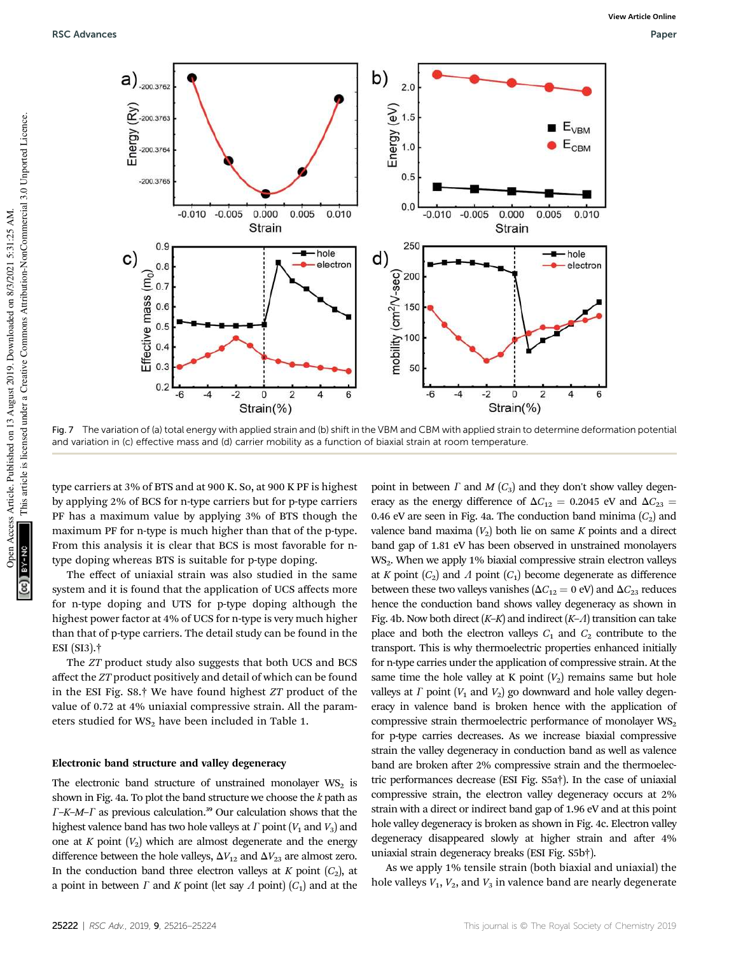

Fig. 7 The variation of (a) total energy with applied strain and (b) shift in the VBM and CBM with applied strain to determine deformation potential and variation in (c) effective mass and (d) carrier mobility as a function of biaxial strain at room temperature

type carriers at 3% of BTS and at 900 K. So, at 900 K PF is highest by applying 2% of BCS for n-type carriers but for p-type carriers PF has a maximum value by applying 3% of BTS though the maximum PF for n-type is much higher than that of the p-type. From this analysis it is clear that BCS is most favorable for ntype doping whereas BTS is suitable for p-type doping.

The effect of uniaxial strain was also studied in the same system and it is found that the application of UCS affects more for n-type doping and UTS for p-type doping although the highest power factor at 4% of UCS for n-type is very much higher than that of p-type carriers. The detail study can be found in the ESI (SI3).†

The *ZT* product study also suggests that both UCS and BCS affect the *ZT* product positively and detail of which can be found in the ESI Fig. S8.† We have found highest *ZT* product of the value of 0.72 at 4% uniaxial compressive strain. All the parameters studied for  $WS_2$  have been included in Table 1.

### Electronic band structure and valley degeneracy

The electronic band structure of unstrained monolayer  $WS_2$  is shown in Fig. 4a. To plot the band structure we choose the *k* path as  $F$ –*K*– $M$ – $\Gamma$  as previous calculation.<sup>39</sup> Our calculation shows that the highest valence band has two hole valleys at  $\Gamma$  point ( $V_1$  and  $V_3$ ) and one at  $K$  point  $(V_2)$  which are almost degenerate and the energy difference between the hole valleys,  $\Delta V_{12}$  and  $\Delta V_{23}$  are almost zero. In the conduction band three electron valleys at  $K$  point  $(C_2)$ , at a point in between  $\Gamma$  and  $K$  point (let say  $\Lambda$  point) ( $C_1$ ) and at the point in between  $\Gamma$  and  $M$  ( $C_3$ ) and they don't show valley degeneracy as the energy difference of  $\Delta C_{12} = 0.2045$  eV and  $\Delta C_{23} =$ 0.46 eV are seen in Fig. 4a. The conduction band minima  $(C_2)$  and valence band maxima  $(V_2)$  both lie on same  $K$  points and a direct band gap of 1.81 eV has been observed in unstrained monolayers WS2. When we apply 1% biaxial compressive strain electron valleys at *K* point  $(C_2)$  and  $\Lambda$  point  $(C_1)$  become degenerate as difference between these two valleys vanishes ( $\Delta C_{12} = 0$  eV) and  $\Delta C_{23}$  reduces hence the conduction band shows valley degeneracy as shown in Fig. 4b. Now both direct  $(K-K)$  and indirect  $(K-A)$  transition can take place and both the electron valleys  $C_1$  and  $C_2$  contribute to the transport. This is why thermoelectric properties enhanced initially for n-type carries under the application of compressive strain. At the same time the hole valley at K point  $(V_2)$  remains same but hole valleys at  $\Gamma$  point ( $V_1$  and  $V_2$ ) go downward and hole valley degeneracy in valence band is broken hence with the application of compressive strain thermoelectric performance of monolayer  $WS_2$ for p-type carries decreases. As we increase biaxial compressive strain the valley degeneracy in conduction band as well as valence band are broken after 2% compressive strain and the thermoelectric performances decrease (ESI Fig. S5a†). In the case of uniaxial compressive strain, the electron valley degeneracy occurs at 2% strain with a direct or indirect band gap of 1.96 eV and at this point hole valley degeneracy is broken as shown in Fig. 4c. Electron valley degeneracy disappeared slowly at higher strain and after 4% uniaxial strain degeneracy breaks (ESI Fig. S5b†).

As we apply 1% tensile strain (both biaxial and uniaxial) the hole valleys  $V_1$ ,  $V_2$ , and  $V_3$  in valence band are nearly degenerate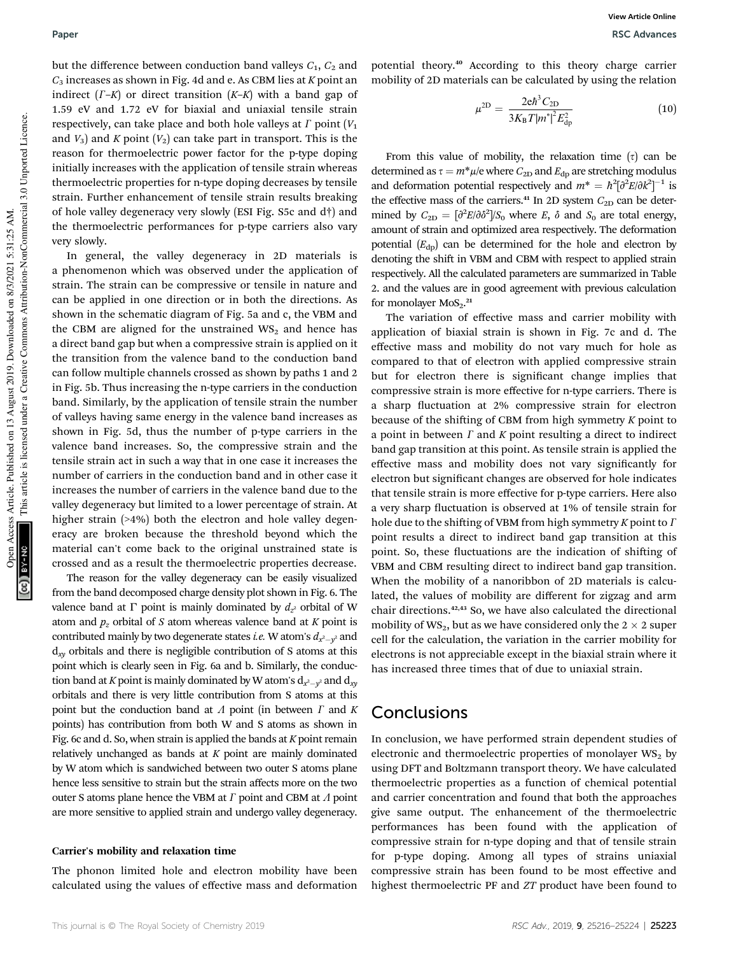but the difference between conduction band valleys  $C_1$ ,  $C_2$  and *C*<sup>3</sup> increases as shown in Fig. 4d and e. As CBM lies at *K* point an indirect  $(\Gamma - K)$  or direct transition  $(K - K)$  with a band gap of 1.59 eV and 1.72 eV for biaxial and uniaxial tensile strain respectively, can take place and both hole valleys at  $\Gamma$  point ( $V_1$ and  $V_3$ ) and *K* point  $(V_2)$  can take part in transport. This is the reason for thermoelectric power factor for the p-type doping initially increases with the application of tensile strain whereas thermoelectric properties for n-type doping decreases by tensile strain. Further enhancement of tensile strain results breaking of hole valley degeneracy very slowly (ESI Fig. S5c and d†) and the thermoelectric performances for p-type carriers also vary very slowly.

In general, the valley degeneracy in 2D materials is a phenomenon which was observed under the application of strain. The strain can be compressive or tensile in nature and can be applied in one direction or in both the directions. As shown in the schematic diagram of Fig. 5a and c, the VBM and the CBM are aligned for the unstrained  $WS_2$  and hence has a direct band gap but when a compressive strain is applied on it the transition from the valence band to the conduction band can follow multiple channels crossed as shown by paths 1 and 2 in Fig. 5b. Thus increasing the n-type carriers in the conduction band. Similarly, by the application of tensile strain the number of valleys having same energy in the valence band increases as shown in Fig. 5d, thus the number of p-type carriers in the valence band increases. So, the compressive strain and the tensile strain act in such a way that in one case it increases the number of carriers in the conduction band and in other case it increases the number of carriers in the valence band due to the valley degeneracy but limited to a lower percentage of strain. At higher strain (>4%) both the electron and hole valley degeneracy are broken because the threshold beyond which the material can't come back to the original unstrained state is crossed and as a result the thermoelectric properties decrease.

The reason for the valley degeneracy can be easily visualized from the band decomposed charge density plot shown in Fig. 6. The valence band at  $\Gamma$  point is mainly dominated by  $d_{z}$  orbital of W atom and  $p_z$  orbital of *S* atom whereas valence band at *K* point is contributed mainly by two degenerate states *i.e*. W atom's  $d_{x^2-y^2}$  and d*xy* orbitals and there is negligible contribution of S atoms at this point which is clearly seen in Fig. 6a and b. Similarly, the conduction band at *K* point is mainly dominated by W atom's  $\mathrm{d}_{x^2-y^2}$  and  $\mathrm{d}_{xy}$ orbitals and there is very little contribution from S atoms at this point but the conduction band at  $\Lambda$  point (in between  $\Gamma$  and  $K$ points) has contribution from both W and S atoms as shown in Fig. 6c and d. So, when strain is applied the bands at *K* point remain relatively unchanged as bands at *K* point are mainly dominated by W atom which is sandwiched between two outer S atoms plane hence less sensitive to strain but the strain affects more on the two outer S atoms plane hence the VBM at  $\Gamma$  point and CBM at  $\Lambda$  point are more sensitive to applied strain and undergo valley degeneracy.

#### Carrier's mobility and relaxation time

The phonon limited hole and electron mobility have been calculated using the values of effective mass and deformation potential theory.<sup>40</sup> According to this theory charge carrier mobility of 2D materials can be calculated by using the relation

$$
\mu^{\rm 2D} = \frac{2e\hbar^3 C_{\rm 2D}}{3K_{\rm B}T|m^*|^2 E_{\rm dp}^2}
$$
(10)

From this value of mobility, the relaxation time  $(\tau)$  can be determined as  $\tau = m^* \mu / e$  where  $C_{2D}$  and  $E_{dp}$  are stretching modulus and deformation potential respectively and  $m^* = \hbar^2 [\partial^2 E / \partial k^2]^{-1}$  is the effective mass of the carriers.<sup>41</sup> In 2D system  $C_{2D}$  can be determined by  $C_{2D} = \left[\frac{\partial^2 E}{\partial \delta^2}\right] / S_0$  where *E*,  $\delta$  and  $S_0$  are total energy, amount of strain and optimized area respectively. The deformation potential  $(E<sub>dp</sub>)$  can be determined for the hole and electron by denoting the shift in VBM and CBM with respect to applied strain respectively. All the calculated parameters are summarized in Table 2. and the values are in good agreement with previous calculation for monolayer  $MOS<sub>2</sub>$ .<sup>21</sup>

The variation of effective mass and carrier mobility with application of biaxial strain is shown in Fig. 7c and d. The effective mass and mobility do not vary much for hole as compared to that of electron with applied compressive strain but for electron there is significant change implies that compressive strain is more effective for n-type carriers. There is a sharp fluctuation at 2% compressive strain for electron because of the shifting of CBM from high symmetry *K* point to a point in between  $\Gamma$  and  $K$  point resulting a direct to indirect band gap transition at this point. As tensile strain is applied the effective mass and mobility does not vary signicantly for electron but significant changes are observed for hole indicates that tensile strain is more effective for p-type carriers. Here also a very sharp fluctuation is observed at 1% of tensile strain for hole due to the shifting of VBM from high symmetry  $K$  point to  $\Gamma$ point results a direct to indirect band gap transition at this point. So, these fluctuations are the indication of shifting of VBM and CBM resulting direct to indirect band gap transition. When the mobility of a nanoribbon of 2D materials is calculated, the values of mobility are different for zigzag and arm chair directions.42,43 So, we have also calculated the directional mobility of WS<sub>2</sub>, but as we have considered only the  $2 \times 2$  super cell for the calculation, the variation in the carrier mobility for electrons is not appreciable except in the biaxial strain where it has increased three times that of due to uniaxial strain.

## Conclusions

In conclusion, we have performed strain dependent studies of electronic and thermoelectric properties of monolayer  $WS_2$  by using DFT and Boltzmann transport theory. We have calculated thermoelectric properties as a function of chemical potential and carrier concentration and found that both the approaches give same output. The enhancement of the thermoelectric performances has been found with the application of compressive strain for n-type doping and that of tensile strain for p-type doping. Among all types of strains uniaxial compressive strain has been found to be most effective and highest thermoelectric PF and *ZT* product have been found to